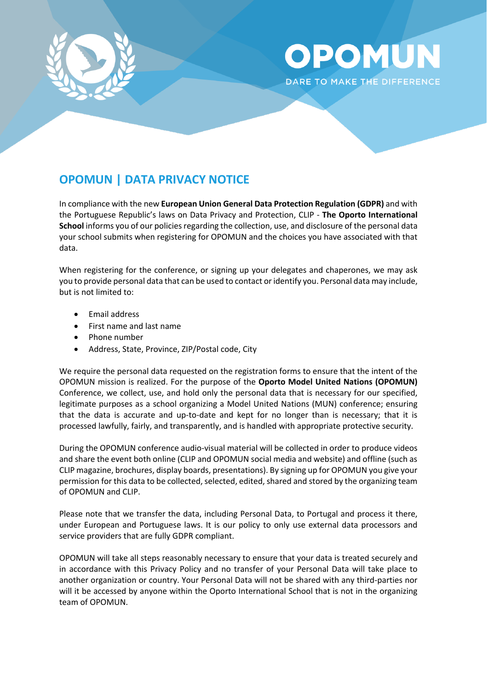

## OPOMUN DARE TO MAKE THE DIFFERENCE

## **OPOMUN | DATA PRIVACY NOTICE**

In compliance with the new **European Union General Data Protection Regulation (GDPR)** and with the Portuguese Republic's laws on Data Privacy and Protection, CLIP - **The Oporto International School** informs you of our policies regarding the collection, use, and disclosure of the personal data your school submits when registering for OPOMUN and the choices you have associated with that data.

When registering for the conference, or signing up your delegates and chaperones, we may ask you to provide personal data that can be used to contact or identify you. Personal data may include, but is not limited to:

- Email address
- First name and last name
- Phone number
- Address, State, Province, ZIP/Postal code, City

We require the personal data requested on the registration forms to ensure that the intent of the OPOMUN mission is realized. For the purpose of the **Oporto Model United Nations (OPOMUN)** Conference, we collect, use, and hold only the personal data that is necessary for our specified, legitimate purposes as a school organizing a Model United Nations (MUN) conference; ensuring that the data is accurate and up-to-date and kept for no longer than is necessary; that it is processed lawfully, fairly, and transparently, and is handled with appropriate protective security.

During the OPOMUN conference audio-visual material will be collected in order to produce videos and share the event both online (CLIP and OPOMUN social media and website) and offline (such as CLIP magazine, brochures, display boards, presentations). By signing up for OPOMUN you give your permission for this data to be collected, selected, edited, shared and stored by the organizing team of OPOMUN and CLIP.

Please note that we transfer the data, including Personal Data, to Portugal and process it there, under European and Portuguese laws. It is our policy to only use external data processors and service providers that are fully GDPR compliant.

OPOMUN will take all steps reasonably necessary to ensure that your data is treated securely and in accordance with this Privacy Policy and no transfer of your Personal Data will take place to another organization or country. Your Personal Data will not be shared with any third-parties nor will it be accessed by anyone within the Oporto International School that is not in the organizing team of OPOMUN.